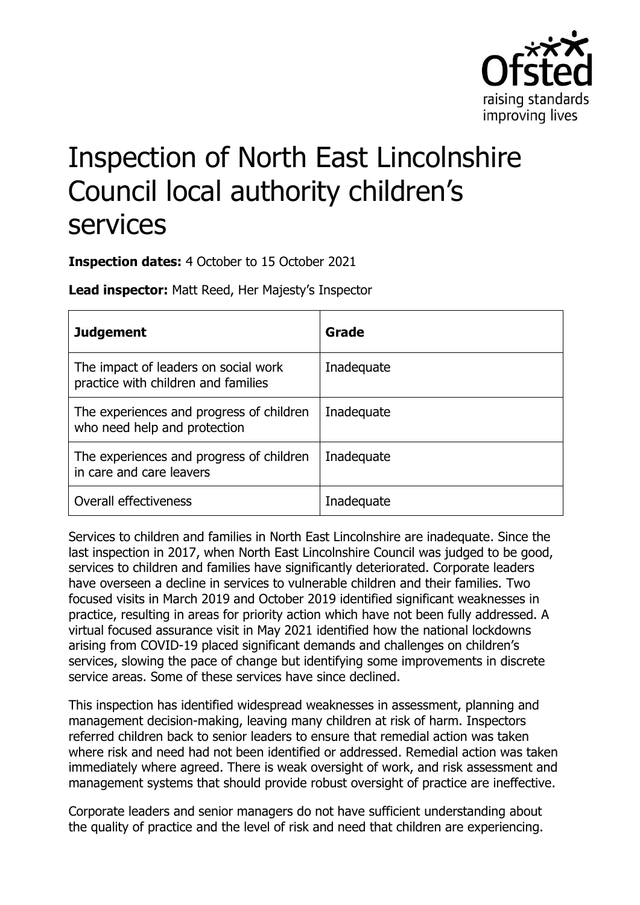

# Inspection of North East Lincolnshire Council local authority children's services

**Inspection dates:** 4 October to 15 October 2021

**Lead inspector:** Matt Reed, Her Majesty's Inspector

| <b>Judgement</b>                                                            | Grade      |
|-----------------------------------------------------------------------------|------------|
| The impact of leaders on social work<br>practice with children and families | Inadequate |
| The experiences and progress of children<br>who need help and protection    | Inadequate |
| The experiences and progress of children<br>in care and care leavers        | Inadequate |
| Overall effectiveness                                                       | Inadequate |

Services to children and families in North East Lincolnshire are inadequate. Since the last inspection in 2017, when North East Lincolnshire Council was judged to be good, services to children and families have significantly deteriorated. Corporate leaders have overseen a decline in services to vulnerable children and their families. Two focused visits in March 2019 and October 2019 identified significant weaknesses in practice, resulting in areas for priority action which have not been fully addressed. A virtual focused assurance visit in May 2021 identified how the national lockdowns arising from COVID-19 placed significant demands and challenges on children's services, slowing the pace of change but identifying some improvements in discrete service areas. Some of these services have since declined.

This inspection has identified widespread weaknesses in assessment, planning and management decision-making, leaving many children at risk of harm. Inspectors referred children back to senior leaders to ensure that remedial action was taken where risk and need had not been identified or addressed. Remedial action was taken immediately where agreed. There is weak oversight of work, and risk assessment and management systems that should provide robust oversight of practice are ineffective.

Corporate leaders and senior managers do not have sufficient understanding about the quality of practice and the level of risk and need that children are experiencing.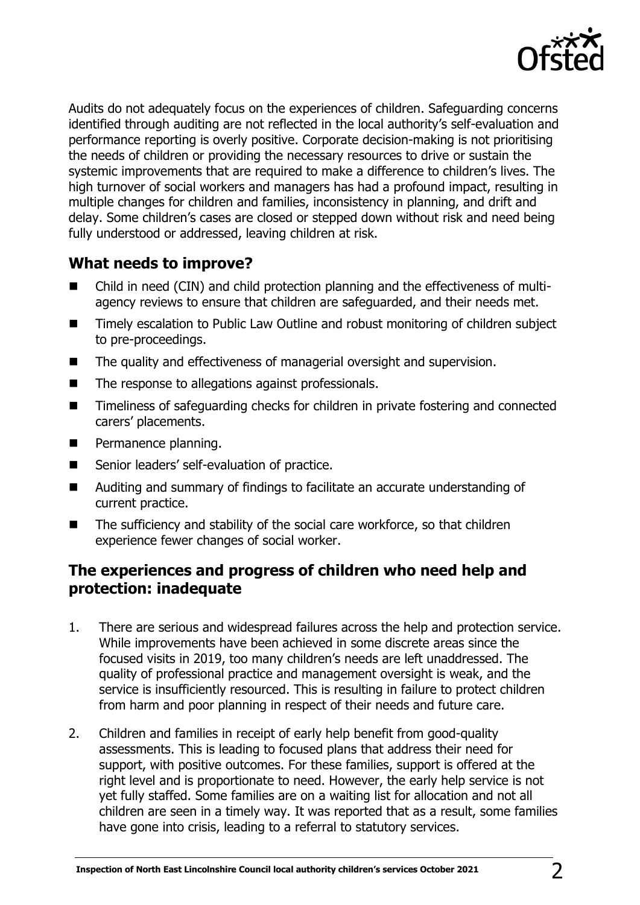

Audits do not adequately focus on the experiences of children. Safeguarding concerns identified through auditing are not reflected in the local authority's self-evaluation and performance reporting is overly positive. Corporate decision-making is not prioritising the needs of children or providing the necessary resources to drive or sustain the systemic improvements that are required to make a difference to children's lives. The high turnover of social workers and managers has had a profound impact, resulting in multiple changes for children and families, inconsistency in planning, and drift and delay. Some children's cases are closed or stepped down without risk and need being fully understood or addressed, leaving children at risk.

# **What needs to improve?**

- Child in need (CIN) and child protection planning and the effectiveness of multiagency reviews to ensure that children are safeguarded, and their needs met.
- Timely escalation to Public Law Outline and robust monitoring of children subject to pre-proceedings.
- The quality and effectiveness of managerial oversight and supervision.
- The response to allegations against professionals.
- Timeliness of safeguarding checks for children in private fostering and connected carers' placements.
- Permanence planning.
- Senior leaders' self-evaluation of practice.
- Auditing and summary of findings to facilitate an accurate understanding of current practice.
- The sufficiency and stability of the social care workforce, so that children experience fewer changes of social worker.

### **The experiences and progress of children who need help and protection: inadequate**

- 1. There are serious and widespread failures across the help and protection service. While improvements have been achieved in some discrete areas since the focused visits in 2019, too many children's needs are left unaddressed. The quality of professional practice and management oversight is weak, and the service is insufficiently resourced. This is resulting in failure to protect children from harm and poor planning in respect of their needs and future care.
- 2. Children and families in receipt of early help benefit from good-quality assessments. This is leading to focused plans that address their need for support, with positive outcomes. For these families, support is offered at the right level and is proportionate to need. However, the early help service is not yet fully staffed. Some families are on a waiting list for allocation and not all children are seen in a timely way. It was reported that as a result, some families have gone into crisis, leading to a referral to statutory services.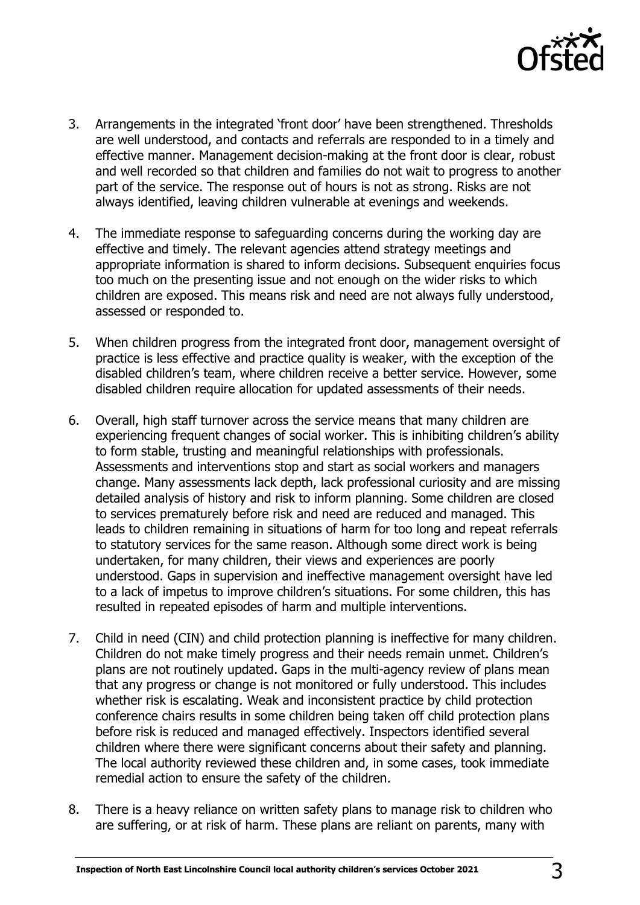

- 3. Arrangements in the integrated 'front door' have been strengthened. Thresholds are well understood, and contacts and referrals are responded to in a timely and effective manner. Management decision-making at the front door is clear, robust and well recorded so that children and families do not wait to progress to another part of the service. The response out of hours is not as strong. Risks are not always identified, leaving children vulnerable at evenings and weekends.
- 4. The immediate response to safeguarding concerns during the working day are effective and timely. The relevant agencies attend strategy meetings and appropriate information is shared to inform decisions. Subsequent enquiries focus too much on the presenting issue and not enough on the wider risks to which children are exposed. This means risk and need are not always fully understood, assessed or responded to.
- 5. When children progress from the integrated front door, management oversight of practice is less effective and practice quality is weaker, with the exception of the disabled children's team, where children receive a better service. However, some disabled children require allocation for updated assessments of their needs.
- 6. Overall, high staff turnover across the service means that many children are experiencing frequent changes of social worker. This is inhibiting children's ability to form stable, trusting and meaningful relationships with professionals. Assessments and interventions stop and start as social workers and managers change. Many assessments lack depth, lack professional curiosity and are missing detailed analysis of history and risk to inform planning. Some children are closed to services prematurely before risk and need are reduced and managed. This leads to children remaining in situations of harm for too long and repeat referrals to statutory services for the same reason. Although some direct work is being undertaken, for many children, their views and experiences are poorly understood. Gaps in supervision and ineffective management oversight have led to a lack of impetus to improve children's situations. For some children, this has resulted in repeated episodes of harm and multiple interventions.
- 7. Child in need (CIN) and child protection planning is ineffective for many children. Children do not make timely progress and their needs remain unmet. Children's plans are not routinely updated. Gaps in the multi-agency review of plans mean that any progress or change is not monitored or fully understood. This includes whether risk is escalating. Weak and inconsistent practice by child protection conference chairs results in some children being taken off child protection plans before risk is reduced and managed effectively. Inspectors identified several children where there were significant concerns about their safety and planning. The local authority reviewed these children and, in some cases, took immediate remedial action to ensure the safety of the children.
- 8. There is a heavy reliance on written safety plans to manage risk to children who are suffering, or at risk of harm. These plans are reliant on parents, many with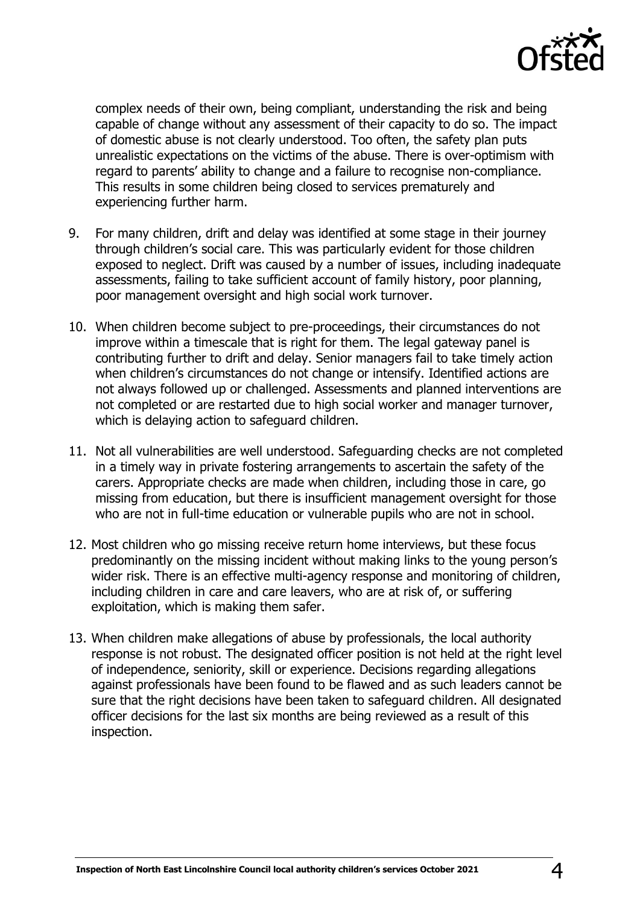

complex needs of their own, being compliant, understanding the risk and being capable of change without any assessment of their capacity to do so. The impact of domestic abuse is not clearly understood. Too often, the safety plan puts unrealistic expectations on the victims of the abuse. There is over-optimism with regard to parents' ability to change and a failure to recognise non-compliance. This results in some children being closed to services prematurely and experiencing further harm.

- 9. For many children, drift and delay was identified at some stage in their journey through children's social care. This was particularly evident for those children exposed to neglect. Drift was caused by a number of issues, including inadequate assessments, failing to take sufficient account of family history, poor planning, poor management oversight and high social work turnover.
- 10. When children become subject to pre-proceedings, their circumstances do not improve within a timescale that is right for them. The legal gateway panel is contributing further to drift and delay. Senior managers fail to take timely action when children's circumstances do not change or intensify. Identified actions are not always followed up or challenged. Assessments and planned interventions are not completed or are restarted due to high social worker and manager turnover, which is delaying action to safeguard children.
- 11. Not all vulnerabilities are well understood. Safeguarding checks are not completed in a timely way in private fostering arrangements to ascertain the safety of the carers. Appropriate checks are made when children, including those in care, go missing from education, but there is insufficient management oversight for those who are not in full-time education or vulnerable pupils who are not in school.
- 12. Most children who go missing receive return home interviews, but these focus predominantly on the missing incident without making links to the young person's wider risk. There is an effective multi-agency response and monitoring of children, including children in care and care leavers, who are at risk of, or suffering exploitation, which is making them safer.
- 13. When children make allegations of abuse by professionals, the local authority response is not robust. The designated officer position is not held at the right level of independence, seniority, skill or experience. Decisions regarding allegations against professionals have been found to be flawed and as such leaders cannot be sure that the right decisions have been taken to safeguard children. All designated officer decisions for the last six months are being reviewed as a result of this inspection.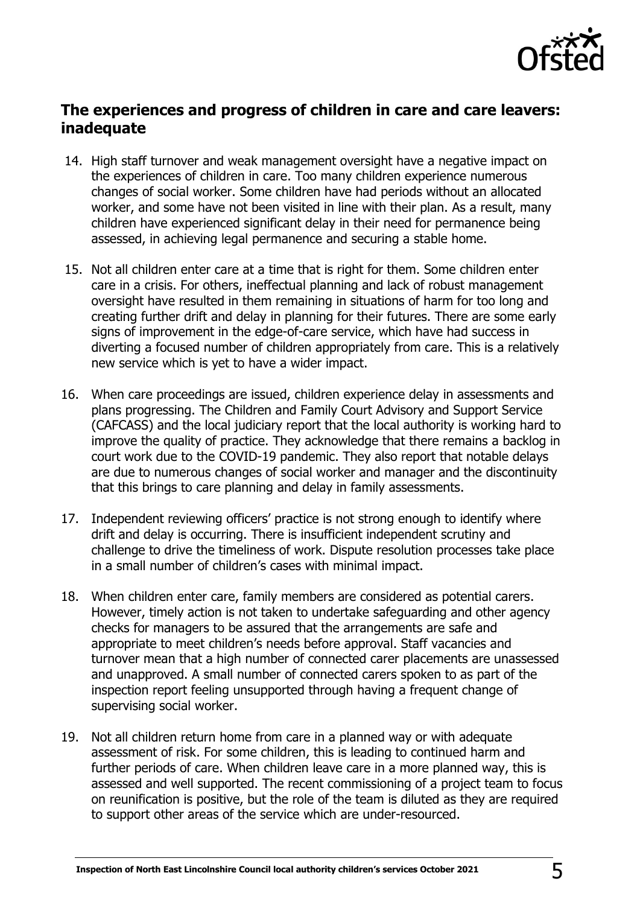

# **The experiences and progress of children in care and care leavers: inadequate**

- 14. High staff turnover and weak management oversight have a negative impact on the experiences of children in care. Too many children experience numerous changes of social worker. Some children have had periods without an allocated worker, and some have not been visited in line with their plan. As a result, many children have experienced significant delay in their need for permanence being assessed, in achieving legal permanence and securing a stable home.
- 15. Not all children enter care at a time that is right for them. Some children enter care in a crisis. For others, ineffectual planning and lack of robust management oversight have resulted in them remaining in situations of harm for too long and creating further drift and delay in planning for their futures. There are some early signs of improvement in the edge-of-care service, which have had success in diverting a focused number of children appropriately from care. This is a relatively new service which is yet to have a wider impact.
- 16. When care proceedings are issued, children experience delay in assessments and plans progressing. The Children and Family Court Advisory and Support Service (CAFCASS) and the local judiciary report that the local authority is working hard to improve the quality of practice. They acknowledge that there remains a backlog in court work due to the COVID-19 pandemic. They also report that notable delays are due to numerous changes of social worker and manager and the discontinuity that this brings to care planning and delay in family assessments.
- 17. Independent reviewing officers' practice is not strong enough to identify where drift and delay is occurring. There is insufficient independent scrutiny and challenge to drive the timeliness of work. Dispute resolution processes take place in a small number of children's cases with minimal impact.
- 18. When children enter care, family members are considered as potential carers. However, timely action is not taken to undertake safeguarding and other agency checks for managers to be assured that the arrangements are safe and appropriate to meet children's needs before approval. Staff vacancies and turnover mean that a high number of connected carer placements are unassessed and unapproved. A small number of connected carers spoken to as part of the inspection report feeling unsupported through having a frequent change of supervising social worker.
- 19. Not all children return home from care in a planned way or with adequate assessment of risk. For some children, this is leading to continued harm and further periods of care. When children leave care in a more planned way, this is assessed and well supported. The recent commissioning of a project team to focus on reunification is positive, but the role of the team is diluted as they are required to support other areas of the service which are under-resourced.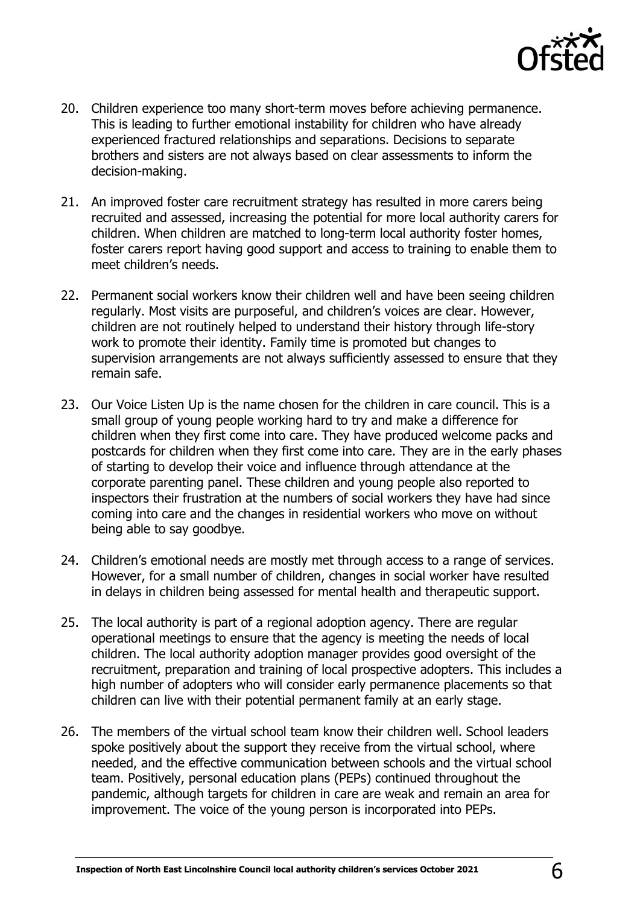

- 20. Children experience too many short-term moves before achieving permanence. This is leading to further emotional instability for children who have already experienced fractured relationships and separations. Decisions to separate brothers and sisters are not always based on clear assessments to inform the decision-making.
- 21. An improved foster care recruitment strategy has resulted in more carers being recruited and assessed, increasing the potential for more local authority carers for children. When children are matched to long-term local authority foster homes, foster carers report having good support and access to training to enable them to meet children's needs.
- 22. Permanent social workers know their children well and have been seeing children regularly. Most visits are purposeful, and children's voices are clear. However, children are not routinely helped to understand their history through life-story work to promote their identity. Family time is promoted but changes to supervision arrangements are not always sufficiently assessed to ensure that they remain safe.
- 23. Our Voice Listen Up is the name chosen for the children in care council. This is a small group of young people working hard to try and make a difference for children when they first come into care. They have produced welcome packs and postcards for children when they first come into care. They are in the early phases of starting to develop their voice and influence through attendance at the corporate parenting panel. These children and young people also reported to inspectors their frustration at the numbers of social workers they have had since coming into care and the changes in residential workers who move on without being able to say goodbye.
- 24. Children's emotional needs are mostly met through access to a range of services. However, for a small number of children, changes in social worker have resulted in delays in children being assessed for mental health and therapeutic support.
- 25. The local authority is part of a regional adoption agency. There are regular operational meetings to ensure that the agency is meeting the needs of local children. The local authority adoption manager provides good oversight of the recruitment, preparation and training of local prospective adopters. This includes a high number of adopters who will consider early permanence placements so that children can live with their potential permanent family at an early stage.
- 26. The members of the virtual school team know their children well. School leaders spoke positively about the support they receive from the virtual school, where needed, and the effective communication between schools and the virtual school team. Positively, personal education plans (PEPs) continued throughout the pandemic, although targets for children in care are weak and remain an area for improvement. The voice of the young person is incorporated into PEPs.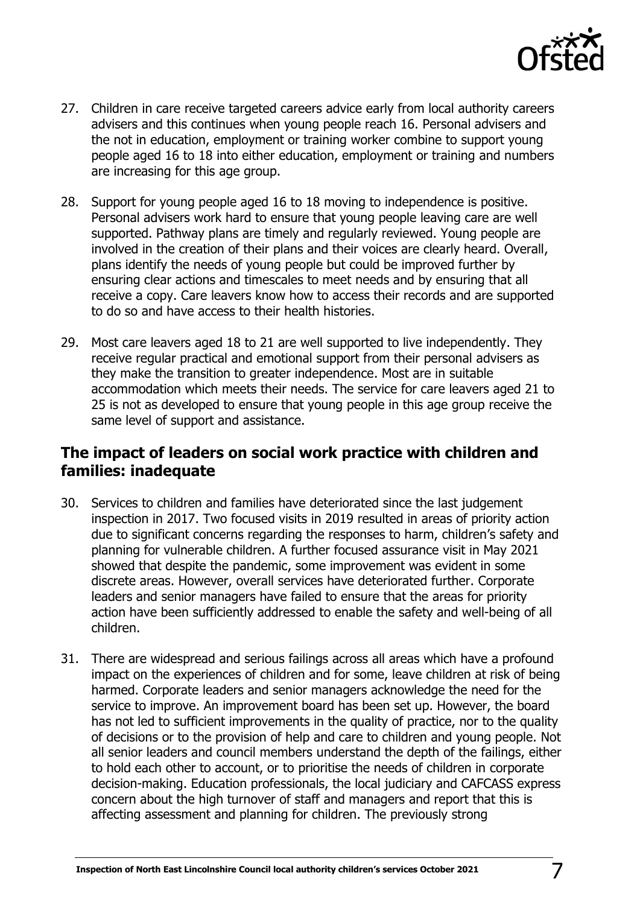

- 27. Children in care receive targeted careers advice early from local authority careers advisers and this continues when young people reach 16. Personal advisers and the not in education, employment or training worker combine to support young people aged 16 to 18 into either education, employment or training and numbers are increasing for this age group.
- 28. Support for young people aged 16 to 18 moving to independence is positive. Personal advisers work hard to ensure that young people leaving care are well supported. Pathway plans are timely and regularly reviewed. Young people are involved in the creation of their plans and their voices are clearly heard. Overall, plans identify the needs of young people but could be improved further by ensuring clear actions and timescales to meet needs and by ensuring that all receive a copy. Care leavers know how to access their records and are supported to do so and have access to their health histories.
- 29. Most care leavers aged 18 to 21 are well supported to live independently. They receive regular practical and emotional support from their personal advisers as they make the transition to greater independence. Most are in suitable accommodation which meets their needs. The service for care leavers aged 21 to 25 is not as developed to ensure that young people in this age group receive the same level of support and assistance.

#### **The impact of leaders on social work practice with children and families: inadequate**

- 30. Services to children and families have deteriorated since the last judgement inspection in 2017. Two focused visits in 2019 resulted in areas of priority action due to significant concerns regarding the responses to harm, children's safety and planning for vulnerable children. A further focused assurance visit in May 2021 showed that despite the pandemic, some improvement was evident in some discrete areas. However, overall services have deteriorated further. Corporate leaders and senior managers have failed to ensure that the areas for priority action have been sufficiently addressed to enable the safety and well-being of all children.
- 31. There are widespread and serious failings across all areas which have a profound impact on the experiences of children and for some, leave children at risk of being harmed. Corporate leaders and senior managers acknowledge the need for the service to improve. An improvement board has been set up. However, the board has not led to sufficient improvements in the quality of practice, nor to the quality of decisions or to the provision of help and care to children and young people. Not all senior leaders and council members understand the depth of the failings, either to hold each other to account, or to prioritise the needs of children in corporate decision-making. Education professionals, the local judiciary and CAFCASS express concern about the high turnover of staff and managers and report that this is affecting assessment and planning for children. The previously strong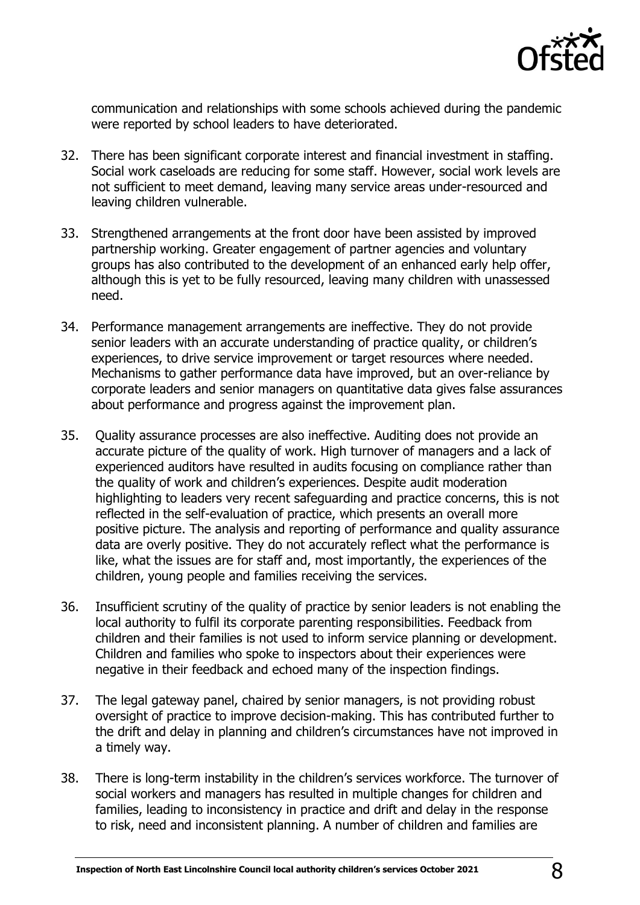

communication and relationships with some schools achieved during the pandemic were reported by school leaders to have deteriorated.

- 32. There has been significant corporate interest and financial investment in staffing. Social work caseloads are reducing for some staff. However, social work levels are not sufficient to meet demand, leaving many service areas under-resourced and leaving children vulnerable.
- 33. Strengthened arrangements at the front door have been assisted by improved partnership working. Greater engagement of partner agencies and voluntary groups has also contributed to the development of an enhanced early help offer, although this is yet to be fully resourced, leaving many children with unassessed need.
- 34. Performance management arrangements are ineffective. They do not provide senior leaders with an accurate understanding of practice quality, or children's experiences, to drive service improvement or target resources where needed. Mechanisms to gather performance data have improved, but an over-reliance by corporate leaders and senior managers on quantitative data gives false assurances about performance and progress against the improvement plan.
- 35. Quality assurance processes are also ineffective. Auditing does not provide an accurate picture of the quality of work. High turnover of managers and a lack of experienced auditors have resulted in audits focusing on compliance rather than the quality of work and children's experiences. Despite audit moderation highlighting to leaders very recent safeguarding and practice concerns, this is not reflected in the self-evaluation of practice, which presents an overall more positive picture. The analysis and reporting of performance and quality assurance data are overly positive. They do not accurately reflect what the performance is like, what the issues are for staff and, most importantly, the experiences of the children, young people and families receiving the services.
- 36. Insufficient scrutiny of the quality of practice by senior leaders is not enabling the local authority to fulfil its corporate parenting responsibilities. Feedback from children and their families is not used to inform service planning or development. Children and families who spoke to inspectors about their experiences were negative in their feedback and echoed many of the inspection findings.
- 37. The legal gateway panel, chaired by senior managers, is not providing robust oversight of practice to improve decision-making. This has contributed further to the drift and delay in planning and children's circumstances have not improved in a timely way.
- 38. There is long-term instability in the children's services workforce. The turnover of social workers and managers has resulted in multiple changes for children and families, leading to inconsistency in practice and drift and delay in the response to risk, need and inconsistent planning. A number of children and families are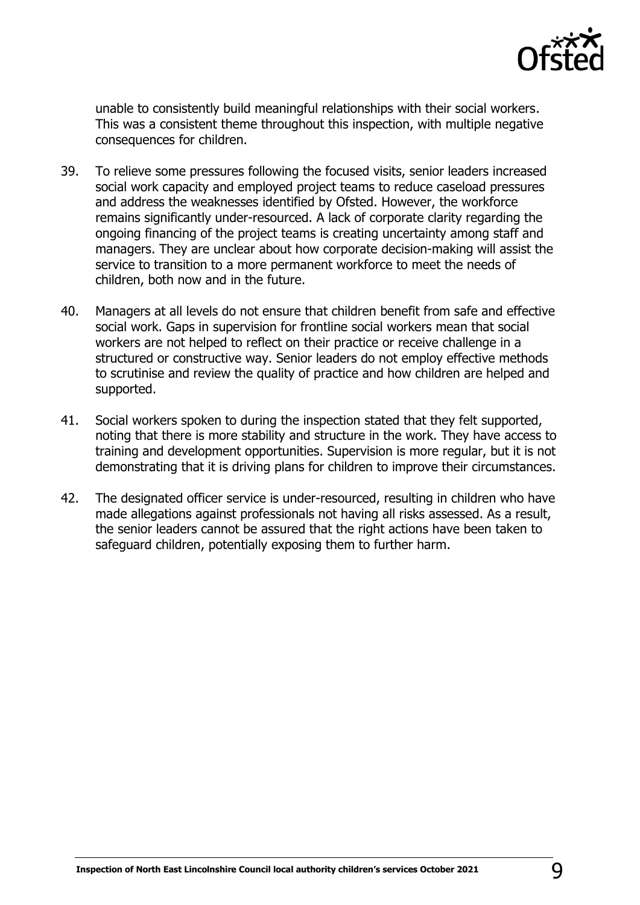

unable to consistently build meaningful relationships with their social workers. This was a consistent theme throughout this inspection, with multiple negative consequences for children.

- 39. To relieve some pressures following the focused visits, senior leaders increased social work capacity and employed project teams to reduce caseload pressures and address the weaknesses identified by Ofsted. However, the workforce remains significantly under-resourced. A lack of corporate clarity regarding the ongoing financing of the project teams is creating uncertainty among staff and managers. They are unclear about how corporate decision-making will assist the service to transition to a more permanent workforce to meet the needs of children, both now and in the future.
- 40. Managers at all levels do not ensure that children benefit from safe and effective social work. Gaps in supervision for frontline social workers mean that social workers are not helped to reflect on their practice or receive challenge in a structured or constructive way. Senior leaders do not employ effective methods to scrutinise and review the quality of practice and how children are helped and supported.
- 41. Social workers spoken to during the inspection stated that they felt supported, noting that there is more stability and structure in the work. They have access to training and development opportunities. Supervision is more regular, but it is not demonstrating that it is driving plans for children to improve their circumstances.
- 42. The designated officer service is under-resourced, resulting in children who have made allegations against professionals not having all risks assessed. As a result, the senior leaders cannot be assured that the right actions have been taken to safeguard children, potentially exposing them to further harm.